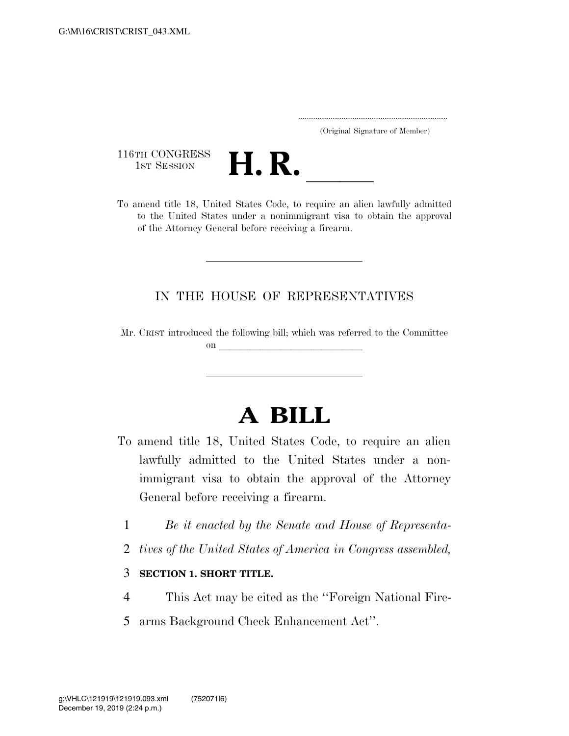..................................................................... (Original Signature of Member)

116TH CONGRESS<br>1st Session



116TH CONGRESS<br>
1st SESSION<br>
To amend title 18, United States Code, to require an alien lawfully admitted to the United States under a nonimmigrant visa to obtain the approval of the Attorney General before receiving a firearm.

## IN THE HOUSE OF REPRESENTATIVES

Mr. CRIST introduced the following bill; which was referred to the Committee on  $\overline{\qquad \qquad }$ 

## **A BILL**

- To amend title 18, United States Code, to require an alien lawfully admitted to the United States under a nonimmigrant visa to obtain the approval of the Attorney General before receiving a firearm.
	- 1 *Be it enacted by the Senate and House of Representa-*
	- 2 *tives of the United States of America in Congress assembled,*

## 3 **SECTION 1. SHORT TITLE.**

- 4 This Act may be cited as the ''Foreign National Fire-
- 5 arms Background Check Enhancement Act''.